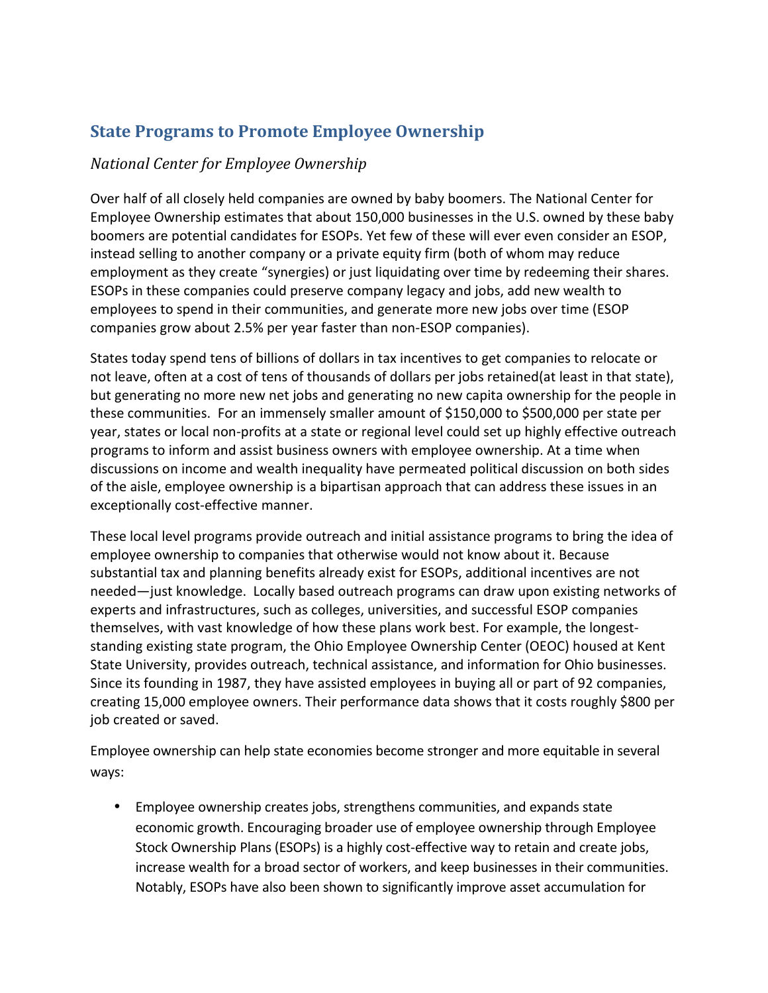## **State Programs to Promote Employee Ownership**

### *National Center for Employee Ownership*

Over half of all closely held companies are owned by baby boomers. The National Center for Employee Ownership estimates that about 150,000 businesses in the U.S. owned by these baby boomers are potential candidates for ESOPs. Yet few of these will ever even consider an ESOP, instead selling to another company or a private equity firm (both of whom may reduce employment as they create "synergies) or just liquidating over time by redeeming their shares. ESOPs in these companies could preserve company legacy and jobs, add new wealth to employees to spend in their communities, and generate more new jobs over time (ESOP companies grow about 2.5% per year faster than non-ESOP companies).

States today spend tens of billions of dollars in tax incentives to get companies to relocate or not leave, often at a cost of tens of thousands of dollars per jobs retained(at least in that state), but generating no more new net jobs and generating no new capita ownership for the people in these communities. For an immensely smaller amount of \$150,000 to \$500,000 per state per year, states or local non-profits at a state or regional level could set up highly effective outreach programs to inform and assist business owners with employee ownership. At a time when discussions on income and wealth inequality have permeated political discussion on both sides of the aisle, employee ownership is a bipartisan approach that can address these issues in an exceptionally cost-effective manner.

These local level programs provide outreach and initial assistance programs to bring the idea of employee ownership to companies that otherwise would not know about it. Because substantial tax and planning benefits already exist for ESOPs, additional incentives are not needed—just knowledge. Locally based outreach programs can draw upon existing networks of experts and infrastructures, such as colleges, universities, and successful ESOP companies themselves, with vast knowledge of how these plans work best. For example, the longeststanding existing state program, the Ohio Employee Ownership Center (OEOC) housed at Kent State University, provides outreach, technical assistance, and information for Ohio businesses. Since its founding in 1987, they have assisted employees in buying all or part of 92 companies, creating 15,000 employee owners. Their performance data shows that it costs roughly \$800 per job created or saved.

Employee ownership can help state economies become stronger and more equitable in several ways:

• Employee ownership creates jobs, strengthens communities, and expands state economic growth. Encouraging broader use of employee ownership through Employee Stock Ownership Plans (ESOPs) is a highly cost-effective way to retain and create jobs, increase wealth for a broad sector of workers, and keep businesses in their communities. Notably, ESOPs have also been shown to significantly improve asset accumulation for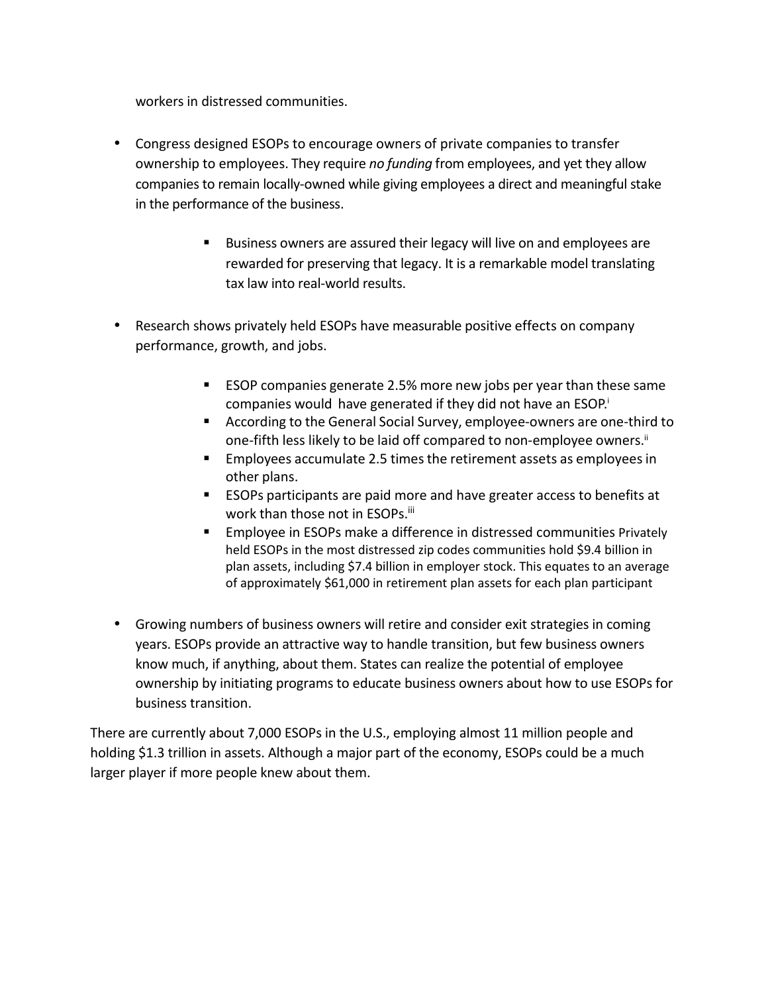workers in distressed communities.

- Congress designed ESOPs to encourage owners of private companies to transfer ownership to employees. They require *no funding* from employees, and yet they allow companies to remain locally-owned while giving employees a direct and meaningful stake in the performance of the business.
	- Business owners are assured their legacy will live on and employees are rewarded for preserving that legacy. It is a remarkable model translating tax law into real-world results.
- Research shows privately held ESOPs have measurable positive effects on company performance, growth, and jobs.
	- **ESOP** companies generate 2.5% more new jobs per year than these same companies would have generated if they did not have an ESOP.<sup>i</sup>
	- According to the General Social Survey, employee-owners are one-third to one-fifth less likely to be laid off compared to non-employee owners.<sup>ii</sup>
	- Employees accumulate 2.5 times the retirement assets as employees in other plans.
	- ESOPs participants are paid more and have greater access to benefits at work than those not in ESOPs.<sup>iii</sup>
	- **Employee in ESOPs make a difference in distressed communities Privately** held ESOPs in the most distressed zip codes communities hold \$9.4 billion in plan assets, including \$7.4 billion in employer stock. This equates to an average of approximately \$61,000 in retirement plan assets for each plan participant
- Growing numbers of business owners will retire and consider exit strategies in coming years. ESOPs provide an attractive way to handle transition, but few business owners know much, if anything, about them. States can realize the potential of employee ownership by initiating programs to educate business owners about how to use ESOPs for business transition.

There are currently about 7,000 ESOPs in the U.S., employing almost 11 million people and holding \$1.3 trillion in assets. Although a major part of the economy, ESOPs could be a much larger player if more people knew about them.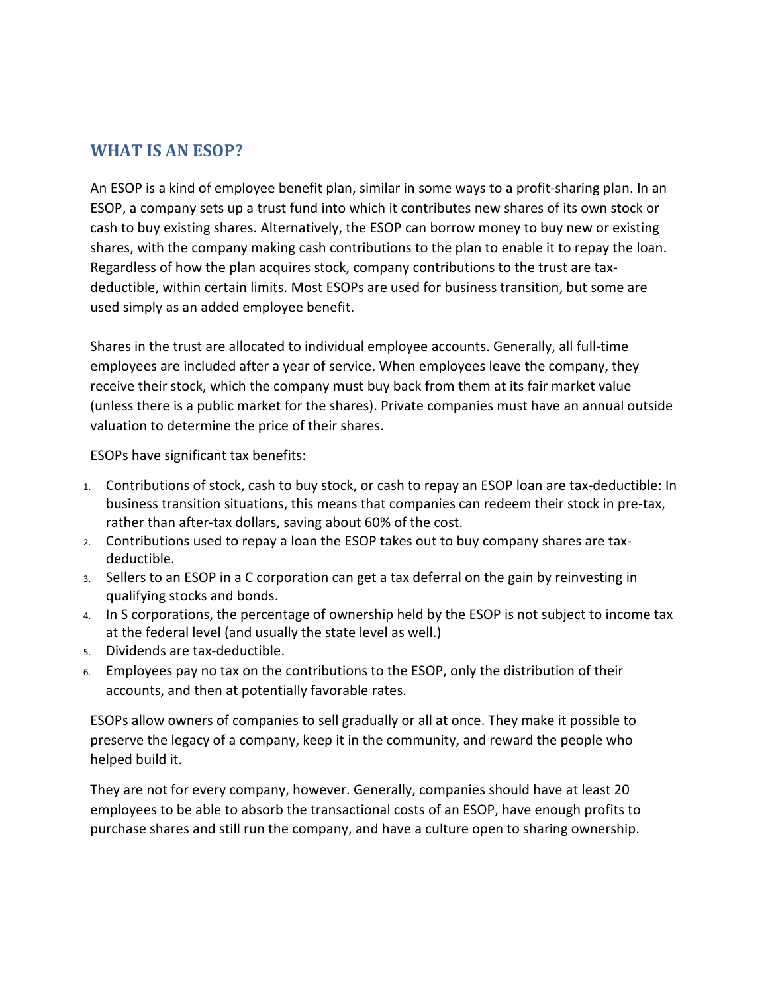### **WHAT IS AN ESOP?**

An ESOP is a kind of employee benefit plan, similar in some ways to a profit-sharing plan. In an ESOP, a company sets up a trust fund into which it contributes new shares of its own stock or cash to buy existing shares. Alternatively, the ESOP can borrow money to buy new or existing shares, with the company making cash contributions to the plan to enable it to repay the loan. Regardless of how the plan acquires stock, company contributions to the trust are taxdeductible, within certain limits. Most ESOPs are used for business transition, but some are used simply as an added employee benefit.

Shares in the trust are allocated to individual employee accounts. Generally, all full-time employees are included after a year of service. When employees leave the company, they receive their stock, which the company must buy back from them at its fair market value (unless there is a public market for the shares). Private companies must have an annual outside valuation to determine the price of their shares.

ESOPs have significant tax benefits:

- 1. Contributions of stock, cash to buy stock, or cash to repay an ESOP loan are tax-deductible: In business transition situations, this means that companies can redeem their stock in pre-tax, rather than after-tax dollars, saving about 60% of the cost.
- 2. Contributions used to repay a loan the ESOP takes out to buy company shares are taxdeductible.
- 3. Sellers to an ESOP in a C corporation can get a tax deferral on the gain by reinvesting in qualifying stocks and bonds.
- 4. In S corporations, the percentage of ownership held by the ESOP is not subject to income tax at the federal level (and usually the state level as well.)
- 5. Dividends are tax-deductible.
- 6. Employees pay no tax on the contributions to the ESOP, only the distribution of their accounts, and then at potentially favorable rates.

ESOPs allow owners of companies to sell gradually or all at once. They make it possible to preserve the legacy of a company, keep it in the community, and reward the people who helped build it.

They are not for every company, however. Generally, companies should have at least 20 employees to be able to absorb the transactional costs of an ESOP, have enough profits to purchase shares and still run the company, and have a culture open to sharing ownership.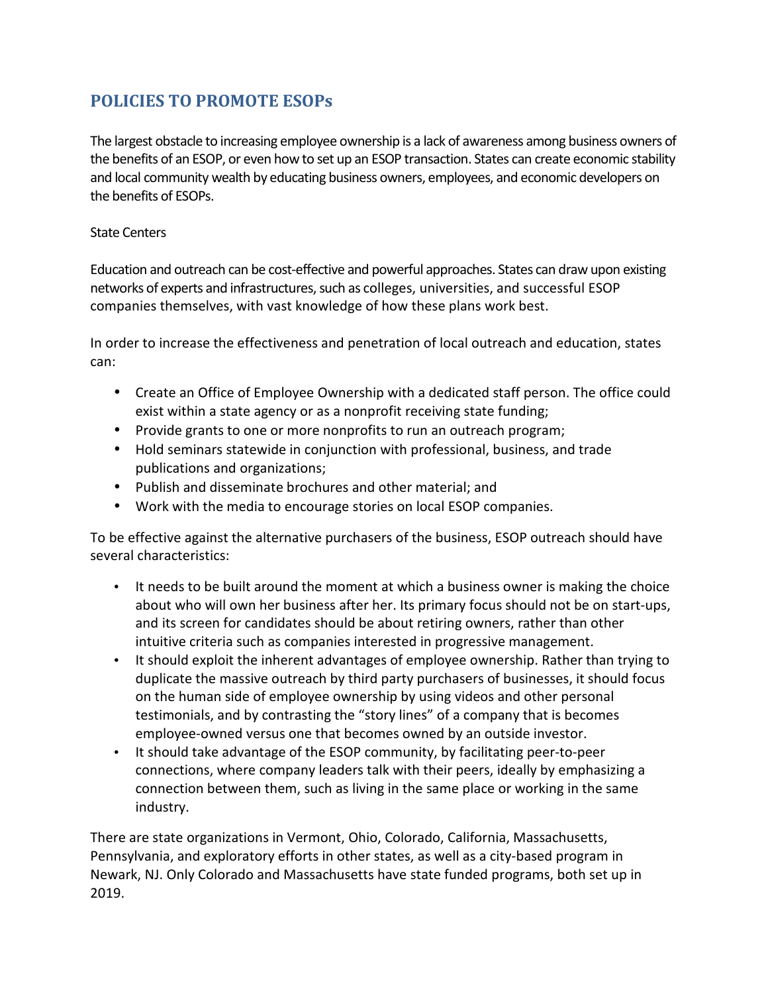## **POLICIES TO PROMOTE ESOPs**

The largest obstacle to increasing employee ownership is a lack of awareness among business owners of the benefits of an ESOP, or even how to set up an ESOP transaction. States can create economic stability and local community wealth by educating business owners, employees, and economic developers on the benefits of ESOPs.

#### State Centers

Education and outreach can be cost-effective and powerful approaches. States can draw upon existing networks of experts and infrastructures, such as colleges, universities, and successful ESOP companies themselves, with vast knowledge of how these plans work best.

In order to increase the effectiveness and penetration of local outreach and education, states can:

- Create an Office of Employee Ownership with a dedicated staff person. The office could exist within a state agency or as a nonprofit receiving state funding;
- Provide grants to one or more nonprofits to run an outreach program;
- Hold seminars statewide in conjunction with professional, business, and trade publications and organizations;
- Publish and disseminate brochures and other material; and
- Work with the media to encourage stories on local ESOP companies.

To be effective against the alternative purchasers of the business, ESOP outreach should have several characteristics:

- It needs to be built around the moment at which a business owner is making the choice about who will own her business after her. Its primary focus should not be on start-ups, and its screen for candidates should be about retiring owners, rather than other intuitive criteria such as companies interested in progressive management.
- It should exploit the inherent advantages of employee ownership. Rather than trying to duplicate the massive outreach by third party purchasers of businesses, it should focus on the human side of employee ownership by using videos and other personal testimonials, and by contrasting the "story lines" of a company that is becomes employee-owned versus one that becomes owned by an outside investor.
- It should take advantage of the ESOP community, by facilitating peer-to-peer connections, where company leaders talk with their peers, ideally by emphasizing a connection between them, such as living in the same place or working in the same industry.

There are state organizations in Vermont, Ohio, Colorado, California, Massachusetts, Pennsylvania, and exploratory efforts in other states, as well as a city-based program in Newark, NJ. Only Colorado and Massachusetts have state funded programs, both set up in 2019.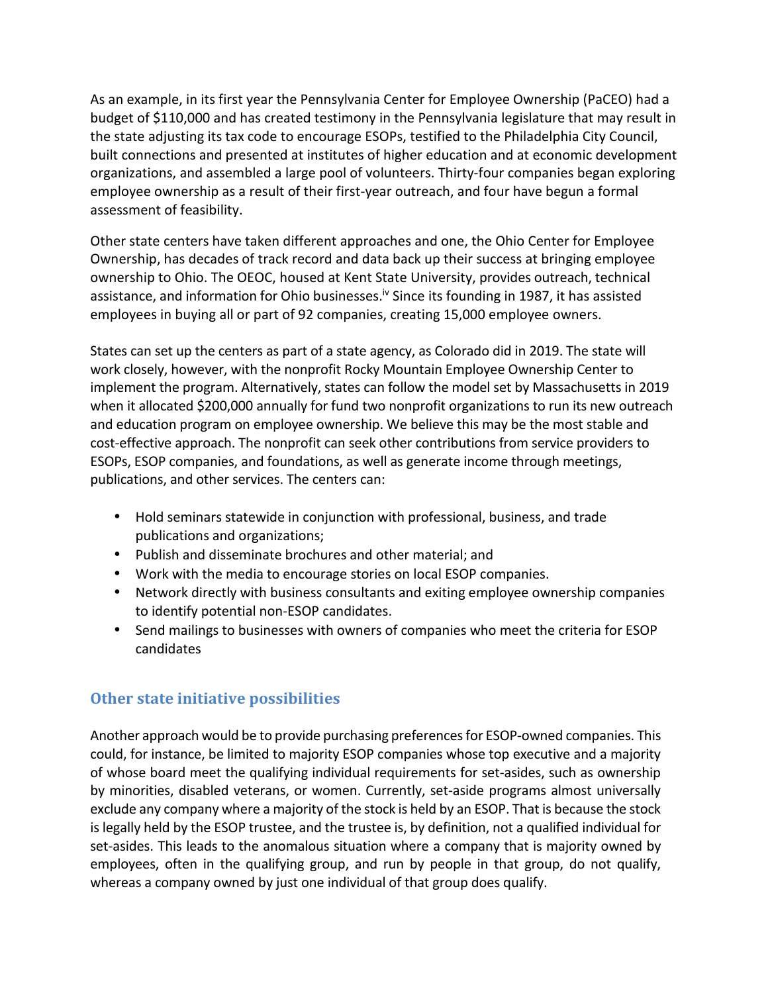As an example, in its first year the Pennsylvania Center for Employee Ownership (PaCEO) had a budget of \$110,000 and has created testimony in the Pennsylvania legislature that may result in the state adjusting its tax code to encourage ESOPs, testified to the Philadelphia City Council, built connections and presented at institutes of higher education and at economic development organizations, and assembled a large pool of volunteers. Thirty-four companies began exploring employee ownership as a result of their first-year outreach, and four have begun a formal assessment of feasibility.

Other state centers have taken different approaches and one, the Ohio Center for Employee Ownership, has decades of track record and data back up their success at bringing employee ownership to Ohio. The OEOC, housed at Kent State University, provides outreach, technical assistance, and information for Ohio businesses.<sup>iv</sup> Since its founding in 1987, it has assisted employees in buying all or part of 92 companies, creating 15,000 employee owners.

States can set up the centers as part of a state agency, as Colorado did in 2019. The state will work closely, however, with the nonprofit Rocky Mountain Employee Ownership Center to implement the program. Alternatively, states can follow the model set by Massachusetts in 2019 when it allocated \$200,000 annually for fund two nonprofit organizations to run its new outreach and education program on employee ownership. We believe this may be the most stable and cost-effective approach. The nonprofit can seek other contributions from service providers to ESOPs, ESOP companies, and foundations, as well as generate income through meetings, publications, and other services. The centers can:

- Hold seminars statewide in conjunction with professional, business, and trade publications and organizations;
- Publish and disseminate brochures and other material; and
- Work with the media to encourage stories on local ESOP companies.
- Network directly with business consultants and exiting employee ownership companies to identify potential non-ESOP candidates.
- Send mailings to businesses with owners of companies who meet the criteria for ESOP candidates

### **Other state initiative possibilities**

Another approach would be to provide purchasing preferences for ESOP-owned companies. This could, for instance, be limited to majority ESOP companies whose top executive and a majority of whose board meet the qualifying individual requirements for set-asides, such as ownership by minorities, disabled veterans, or women. Currently, set-aside programs almost universally exclude any company where a majority of the stock is held by an ESOP. That is because the stock is legally held by the ESOP trustee, and the trustee is, by definition, not a qualified individual for set-asides. This leads to the anomalous situation where a company that is majority owned by employees, often in the qualifying group, and run by people in that group, do not qualify, whereas a company owned by just one individual of that group does qualify.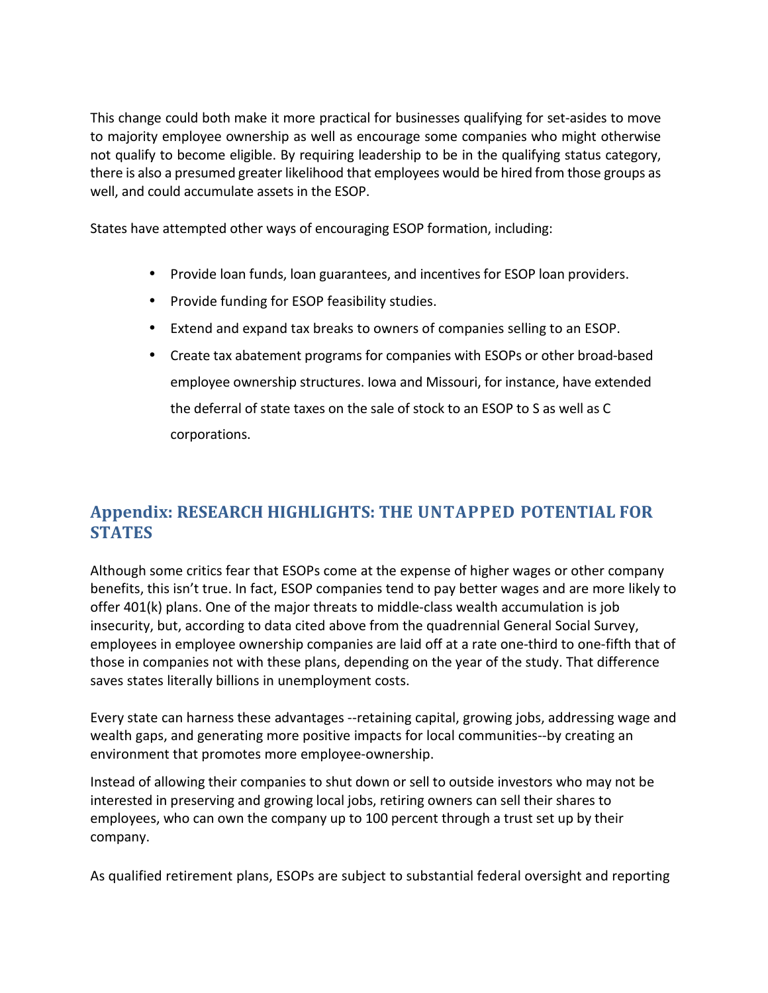This change could both make it more practical for businesses qualifying for set-asides to move to majority employee ownership as well as encourage some companies who might otherwise not qualify to become eligible. By requiring leadership to be in the qualifying status category, there is also a presumed greater likelihood that employees would be hired from those groups as well, and could accumulate assets in the ESOP.

States have attempted other ways of encouraging ESOP formation, including:

- Provide loan funds, loan guarantees, and incentives for ESOP loan providers.
- Provide funding for ESOP feasibility studies.
- Extend and expand tax breaks to owners of companies selling to an ESOP.
- Create tax abatement programs for companies with ESOPs or other broad-based employee ownership structures. Iowa and Missouri, for instance, have extended the deferral of state taxes on the sale of stock to an ESOP to S as well as C corporations.

## **Appendix: RESEARCH HIGHLIGHTS: THE UNTAPPED POTENTIAL FOR STATES**

Although some critics fear that ESOPs come at the expense of higher wages or other company benefits, this isn't true. In fact, ESOP companies tend to pay better wages and are more likely to offer 401(k) plans. One of the major threats to middle-class wealth accumulation is job insecurity, but, according to data cited above from the quadrennial General Social Survey, employees in employee ownership companies are laid off at a rate one-third to one-fifth that of those in companies not with these plans, depending on the year of the study. That difference saves states literally billions in unemployment costs.

Every state can harness these advantages --retaining capital, growing jobs, addressing wage and wealth gaps, and generating more positive impacts for local communities--by creating an environment that promotes more employee-ownership.

Instead of allowing their companies to shut down or sell to outside investors who may not be interested in preserving and growing local jobs, retiring owners can sell their shares to employees, who can own the company up to 100 percent through a trust set up by their company.

As qualified retirement plans, ESOPs are subject to substantial federal oversight and reporting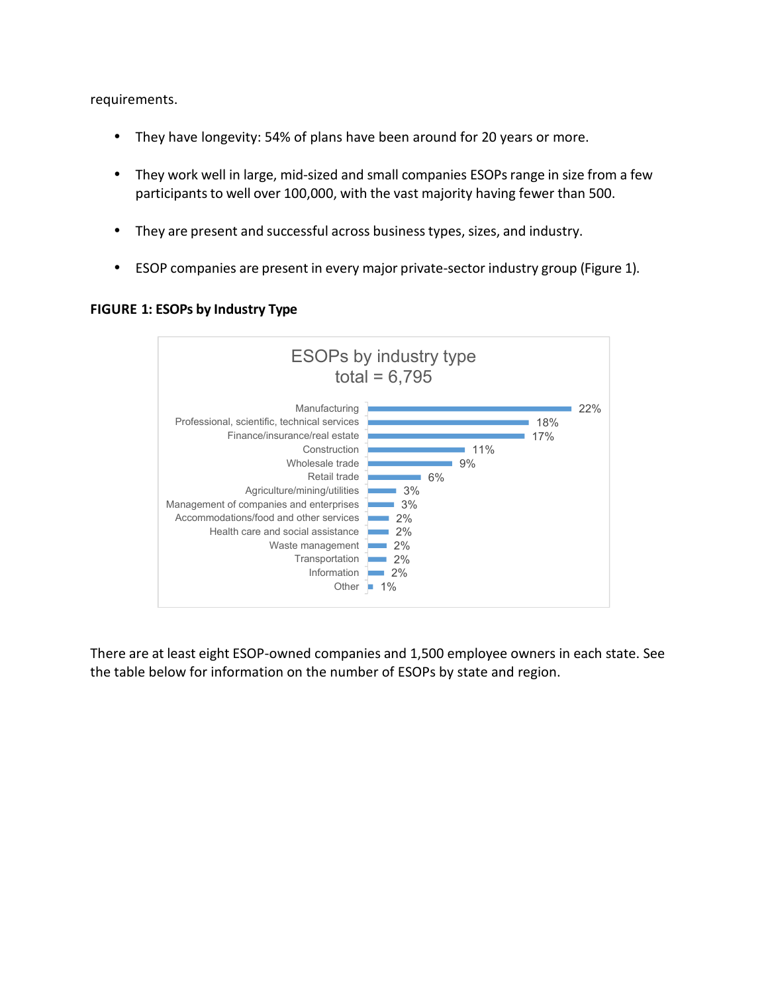requirements.

- They have longevity: 54% of plans have been around for 20 years or more.
- They work well in large, mid-sized and small companies ESOPs range in size from a few participants to well over 100,000, with the vast majority having fewer than 500.
- They are present and successful across business types, sizes, and industry.
- ESOP companies are present in every major private-sector industry group (Figure 1).



#### **FIGURE 1: ESOPs by Industry Type**

There are at least eight ESOP-owned companies and 1,500 employee owners in each state. See the table below for information on the number of ESOPs by state and region.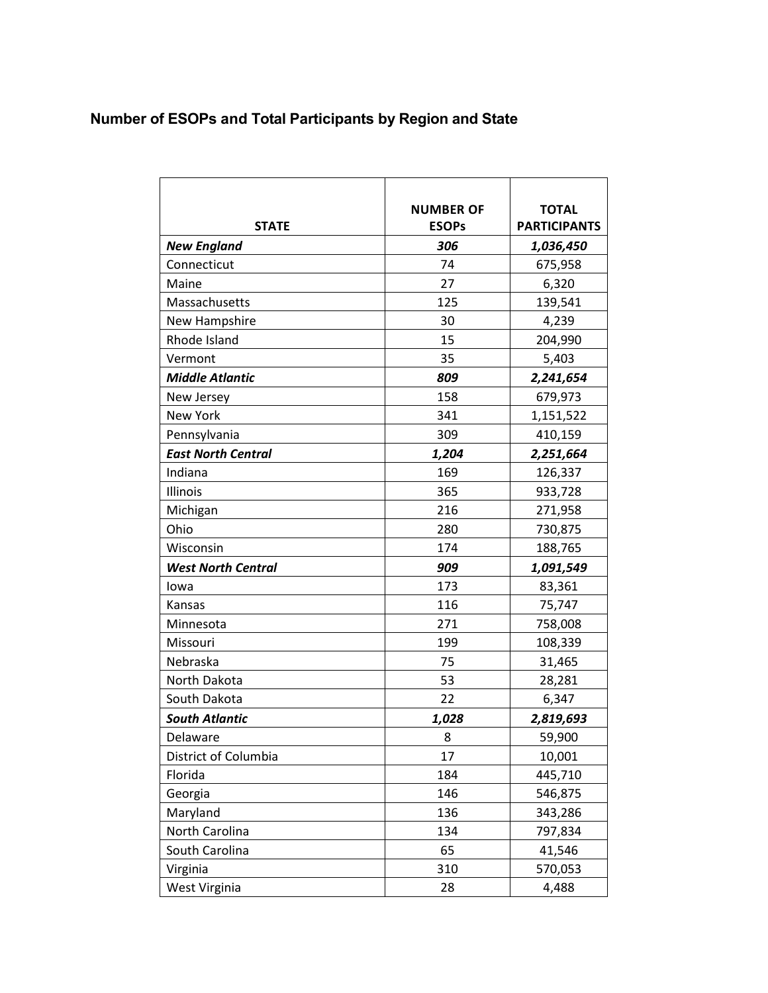# **Number of ESOPs and Total Participants by Region and State**

|                           | <b>NUMBER OF</b> | <b>TOTAL</b>        |
|---------------------------|------------------|---------------------|
| <b>STATE</b>              | <b>ESOPs</b>     | <b>PARTICIPANTS</b> |
| <b>New England</b>        | 306              | 1,036,450           |
| Connecticut               | 74               | 675,958             |
| Maine                     | 27               | 6,320               |
| Massachusetts             | 125              | 139,541             |
| New Hampshire             | 30               | 4,239               |
| Rhode Island              | 15               | 204,990             |
| Vermont                   | 35               | 5,403               |
| <b>Middle Atlantic</b>    | 809              | 2,241,654           |
| New Jersey                | 158              | 679,973             |
| <b>New York</b>           | 341              | 1,151,522           |
| Pennsylvania              | 309              | 410,159             |
| <b>East North Central</b> | 1,204            | 2,251,664           |
| Indiana                   | 169              | 126,337             |
| Illinois                  | 365              | 933,728             |
| Michigan                  | 216              | 271,958             |
| Ohio                      | 280              | 730,875             |
| Wisconsin                 | 174              | 188,765             |
| <b>West North Central</b> | 909              | 1,091,549           |
| lowa                      | 173              | 83,361              |
| Kansas                    | 116              | 75,747              |
| Minnesota                 | 271              | 758,008             |
| Missouri                  | 199              | 108,339             |
| Nebraska                  | 75               | 31,465              |
| North Dakota              | 53               | 28,281              |
| South Dakota              | 22               | 6,347               |
| <b>South Atlantic</b>     | 1,028            | 2,819,693           |
| Delaware                  | 8                | 59,900              |
| District of Columbia      | 17               | 10,001              |
| Florida                   | 184              | 445,710             |
| Georgia                   | 146              | 546,875             |
| Maryland                  | 136              | 343,286             |
| North Carolina            | 134              | 797,834             |
| South Carolina            | 65               | 41,546              |
| Virginia                  | 310              | 570,053             |
| West Virginia             | 28               | 4,488               |